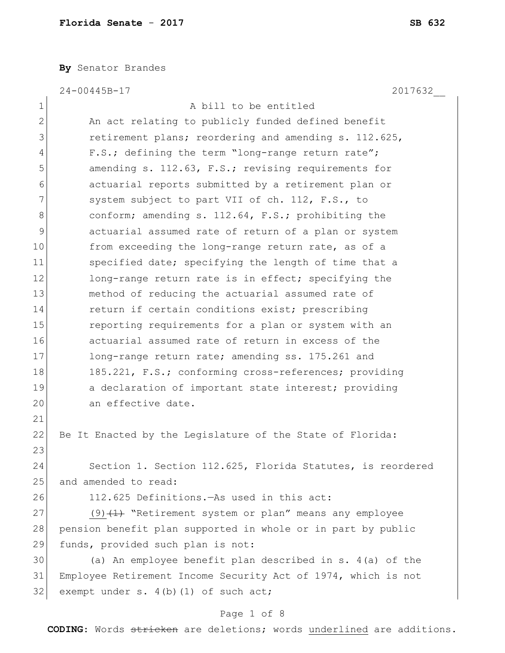**By** Senator Brandes

24-00445B-17 2017632\_\_

| $\mathbf 1$  | A bill to be entitled                                         |
|--------------|---------------------------------------------------------------|
| $\mathbf{2}$ | An act relating to publicly funded defined benefit            |
| 3            | retirement plans; reordering and amending s. 112.625,         |
| 4            | F.S.; defining the term "long-range return rate";             |
| 5            | amending s. 112.63, F.S.; revising requirements for           |
| 6            | actuarial reports submitted by a retirement plan or           |
| 7            | system subject to part VII of ch. 112, F.S., to               |
| 8            | conform; amending s. 112.64, F.S.; prohibiting the            |
| 9            | actuarial assumed rate of return of a plan or system          |
| 10           | from exceeding the long-range return rate, as of a            |
| 11           | specified date; specifying the length of time that a          |
| 12           | long-range return rate is in effect; specifying the           |
| 13           | method of reducing the actuarial assumed rate of              |
| 14           | return if certain conditions exist; prescribing               |
| 15           | reporting requirements for a plan or system with an           |
| 16           | actuarial assumed rate of return in excess of the             |
| 17           | long-range return rate; amending ss. 175.261 and              |
| 18           | 185.221, F.S.; conforming cross-references; providing         |
| 19           | a declaration of important state interest; providing          |
| 20           | an effective date.                                            |
| 21           |                                                               |
| 22           | Be It Enacted by the Legislature of the State of Florida:     |
| 23           |                                                               |
| 24           | Section 1. Section 112.625, Florida Statutes, is reordered    |
| 25           | and amended to read:                                          |
| 26           | 112.625 Definitions. - As used in this act:                   |
| 27           | $(9)$ $(1)$ "Retirement system or plan" means any employee    |
| 28           | pension benefit plan supported in whole or in part by public  |
| 29           | funds, provided such plan is not:                             |
| 30           | (a) An employee benefit plan described in s. $4(a)$ of the    |
| 31           | Employee Retirement Income Security Act of 1974, which is not |
| 32           | exempt under $s. 4(b) (1)$ of such act;                       |
|              |                                                               |

# Page 1 of 8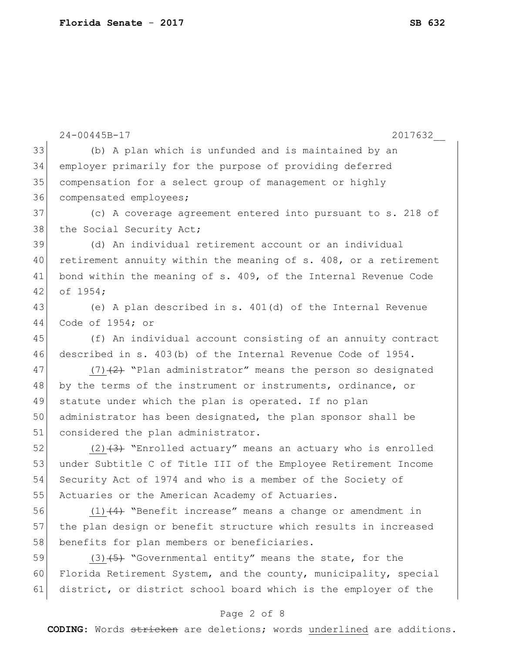|    | 24-00445B-17<br>2017632                                          |
|----|------------------------------------------------------------------|
| 33 | (b) A plan which is unfunded and is maintained by an             |
| 34 | employer primarily for the purpose of providing deferred         |
| 35 | compensation for a select group of management or highly          |
| 36 | compensated employees;                                           |
| 37 | (c) A coverage agreement entered into pursuant to s. 218 of      |
| 38 | the Social Security Act;                                         |
| 39 | (d) An individual retirement account or an individual            |
| 40 | retirement annuity within the meaning of s. 408, or a retirement |
| 41 | bond within the meaning of s. 409, of the Internal Revenue Code  |
| 42 | of 1954;                                                         |
| 43 | (e) A plan described in s. 401(d) of the Internal Revenue        |
| 44 | Code of $1954;$ or                                               |
| 45 | (f) An individual account consisting of an annuity contract      |
| 46 | described in s. 403(b) of the Internal Revenue Code of 1954.     |
| 47 | $(7)$ +2+ "Plan administrator" means the person so designated    |
| 48 | by the terms of the instrument or instruments, ordinance, or     |
| 49 | statute under which the plan is operated. If no plan             |
| 50 | administrator has been designated, the plan sponsor shall be     |
| 51 | considered the plan administrator.                               |
| 52 | $(2)$ +3) "Enrolled actuary" means an actuary who is enrolled    |
| 53 | under Subtitle C of Title III of the Employee Retirement Income  |
| 54 | Security Act of 1974 and who is a member of the Society of       |
| 55 | Actuaries or the American Academy of Actuaries.                  |
| 56 | $(1)$ $(4)$ "Benefit increase" means a change or amendment in    |
| 57 | the plan design or benefit structure which results in increased  |
| 58 | benefits for plan members or beneficiaries.                      |
| 59 | $(3)$ $(5)$ "Governmental entity" means the state, for the       |
| 60 | Florida Retirement System, and the county, municipality, special |
| 61 | district, or district school board which is the employer of the  |
|    | Page 2 of 8                                                      |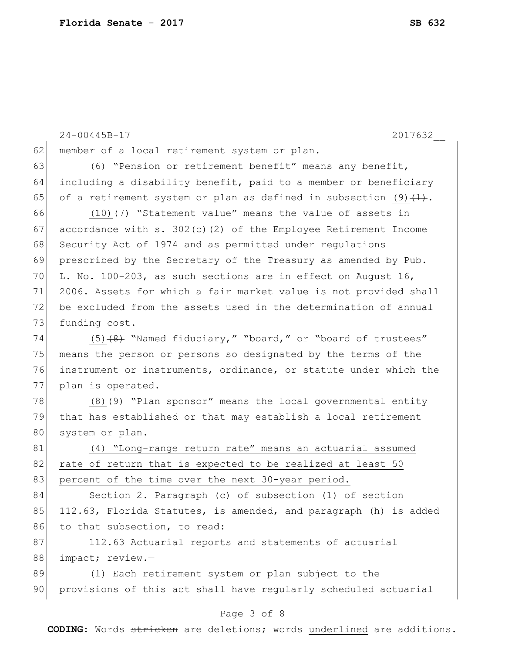|    | 2017632<br>$24 - 00445B - 17$                                         |
|----|-----------------------------------------------------------------------|
| 62 | member of a local retirement system or plan.                          |
| 63 | (6) "Pension or retirement benefit" means any benefit,                |
| 64 | including a disability benefit, paid to a member or beneficiary       |
| 65 | of a retirement system or plan as defined in subsection $(9)$ $(1)$ . |
| 66 | $(10)$ $(7)$ "Statement value" means the value of assets in           |
| 67 | accordance with s. $302(c)$ (2) of the Employee Retirement Income     |
| 68 | Security Act of 1974 and as permitted under regulations               |
| 69 |                                                                       |
| 70 | prescribed by the Secretary of the Treasury as amended by Pub.        |
|    | L. No. 100-203, as such sections are in effect on August 16,          |
| 71 | 2006. Assets for which a fair market value is not provided shall      |
| 72 | be excluded from the assets used in the determination of annual       |
| 73 | funding cost.                                                         |
| 74 | $(5)$ $(8)$ "Named fiduciary," "board," or "board of trustees"        |
| 75 | means the person or persons so designated by the terms of the         |
| 76 | instrument or instruments, ordinance, or statute under which the      |
| 77 | plan is operated.                                                     |
| 78 | $(8)$ +9) "Plan sponsor" means the local governmental entity          |
| 79 | that has established or that may establish a local retirement         |
| 80 | system or plan.                                                       |
| 81 | (4) "Long-range return rate" means an actuarial assumed               |
| 82 | rate of return that is expected to be realized at least 50            |
| 83 | percent of the time over the next 30-year period.                     |
| 84 | Section 2. Paragraph (c) of subsection (1) of section                 |
| 85 | 112.63, Florida Statutes, is amended, and paragraph (h) is added      |
| 86 | to that subsection, to read:                                          |
| 87 | 112.63 Actuarial reports and statements of actuarial                  |
| 88 | impact; review.-                                                      |
| 89 | (1) Each retirement system or plan subject to the                     |
| 90 | provisions of this act shall have regularly scheduled actuarial       |
|    | Page 3 of 8                                                           |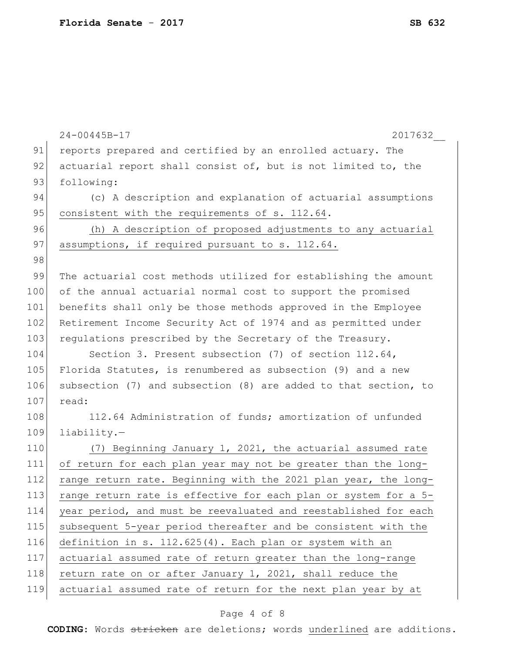|     | $24 - 00445B - 17$<br>2017632                                   |
|-----|-----------------------------------------------------------------|
| 91  | reports prepared and certified by an enrolled actuary. The      |
| 92  | actuarial report shall consist of, but is not limited to, the   |
| 93  | following:                                                      |
| 94  | (c) A description and explanation of actuarial assumptions      |
| 95  | consistent with the requirements of s. 112.64.                  |
| 96  | (h) A description of proposed adjustments to any actuarial      |
| 97  | assumptions, if required pursuant to s. 112.64.                 |
| 98  |                                                                 |
| 99  | The actuarial cost methods utilized for establishing the amount |
| 100 | of the annual actuarial normal cost to support the promised     |
| 101 | benefits shall only be those methods approved in the Employee   |
| 102 | Retirement Income Security Act of 1974 and as permitted under   |
| 103 | requlations prescribed by the Secretary of the Treasury.        |
| 104 | Section 3. Present subsection (7) of section $112.64$ ,         |
| 105 | Florida Statutes, is renumbered as subsection (9) and a new     |
| 106 | subsection (7) and subsection (8) are added to that section, to |
| 107 | read:                                                           |
| 108 | 112.64 Administration of funds; amortization of unfunded        |
| 109 | $liability.$ -                                                  |
| 110 | (7) Beginning January 1, 2021, the actuarial assumed rate       |
| 111 | of return for each plan year may not be greater than the long-  |
| 112 | range return rate. Beginning with the 2021 plan year, the long- |
| 113 | range return rate is effective for each plan or system for a 5- |
| 114 | year period, and must be reevaluated and reestablished for each |
| 115 | subsequent 5-year period thereafter and be consistent with the  |
| 116 | definition in s. 112.625(4). Each plan or system with an        |
| 117 | actuarial assumed rate of return greater than the long-range    |
| 118 | return rate on or after January 1, 2021, shall reduce the       |
| 119 | actuarial assumed rate of return for the next plan year by at   |
|     |                                                                 |

# Page 4 of 8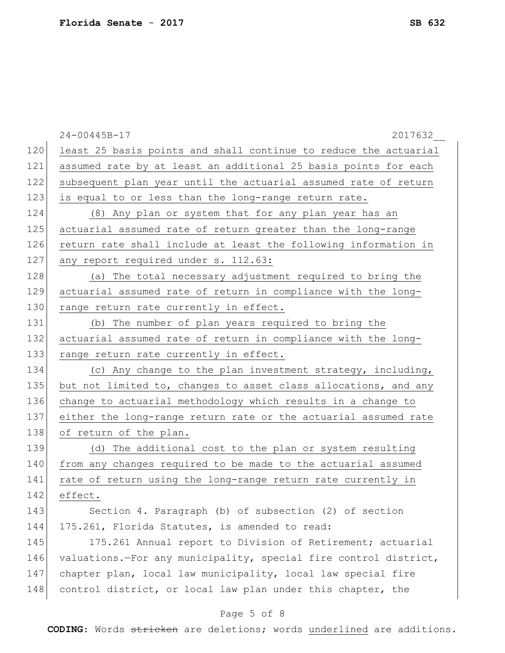|     | $24 - 00445B - 17$<br>2017632                                    |
|-----|------------------------------------------------------------------|
| 120 | least 25 basis points and shall continue to reduce the actuarial |
| 121 | assumed rate by at least an additional 25 basis points for each  |
| 122 | subsequent plan year until the actuarial assumed rate of return  |
| 123 | is equal to or less than the long-range return rate.             |
| 124 | (8) Any plan or system that for any plan year has an             |
| 125 | actuarial assumed rate of return greater than the long-range     |
| 126 | return rate shall include at least the following information in  |
| 127 | any report required under s. 112.63:                             |
| 128 | (a) The total necessary adjustment required to bring the         |
| 129 | actuarial assumed rate of return in compliance with the long-    |
| 130 | range return rate currently in effect.                           |
| 131 | (b) The number of plan years required to bring the               |
| 132 | actuarial assumed rate of return in compliance with the long-    |
| 133 | range return rate currently in effect.                           |
| 134 | (c) Any change to the plan investment strategy, including,       |
| 135 | but not limited to, changes to asset class allocations, and any  |
| 136 | change to actuarial methodology which results in a change to     |
| 137 | either the long-range return rate or the actuarial assumed rate  |
| 138 | of return of the plan.                                           |
| 139 | (d) The additional cost to the plan or system resulting          |
| 140 | from any changes required to be made to the actuarial assumed    |
| 141 | rate of return using the long-range return rate currently in     |
| 142 | effect.                                                          |
| 143 | Section 4. Paragraph (b) of subsection (2) of section            |
| 144 | 175.261, Florida Statutes, is amended to read:                   |
| 145 | 175.261 Annual report to Division of Retirement; actuarial       |
| 146 | valuations.-For any municipality, special fire control district, |
| 147 | chapter plan, local law municipality, local law special fire     |
| 148 | control district, or local law plan under this chapter, the      |
|     |                                                                  |

## Page 5 of 8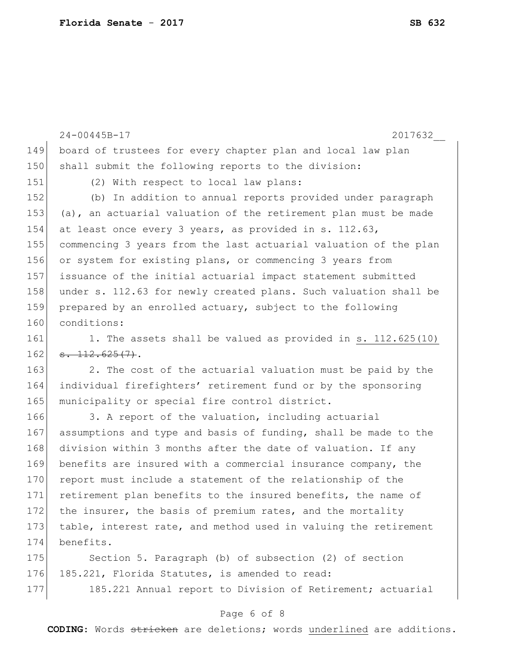|     | $24 - 00445B - 17$<br>2017632                                    |
|-----|------------------------------------------------------------------|
| 149 | board of trustees for every chapter plan and local law plan      |
| 150 | shall submit the following reports to the division:              |
| 151 | (2) With respect to local law plans:                             |
| 152 | (b) In addition to annual reports provided under paragraph       |
| 153 | (a), an actuarial valuation of the retirement plan must be made  |
| 154 | at least once every 3 years, as provided in s. 112.63,           |
| 155 | commencing 3 years from the last actuarial valuation of the plan |
| 156 | or system for existing plans, or commencing 3 years from         |
| 157 | issuance of the initial actuarial impact statement submitted     |
| 158 | under s. 112.63 for newly created plans. Such valuation shall be |
| 159 | prepared by an enrolled actuary, subject to the following        |
| 160 | conditions:                                                      |
| 161 | 1. The assets shall be valued as provided in s. 112.625(10)      |
| 162 | $-112.625(7)$ .                                                  |
| 163 | 2. The cost of the actuarial valuation must be paid by the       |
| 164 | individual firefighters' retirement fund or by the sponsoring    |
| 165 | municipality or special fire control district.                   |
| 166 | 3. A report of the valuation, including actuarial                |
| 167 | assumptions and type and basis of funding, shall be made to the  |
| 168 | division within 3 months after the date of valuation. If any     |
| 169 | benefits are insured with a commercial insurance company, the    |
| 170 | report must include a statement of the relationship of the       |
| 171 | retirement plan benefits to the insured benefits, the name of    |
| 172 | the insurer, the basis of premium rates, and the mortality       |
| 173 | table, interest rate, and method used in valuing the retirement  |
| 174 | benefits.                                                        |
| 175 | Section 5. Paragraph (b) of subsection (2) of section            |
| 176 | 185.221, Florida Statutes, is amended to read:                   |
| 177 | 185.221 Annual report to Division of Retirement; actuarial       |

# Page 6 of 8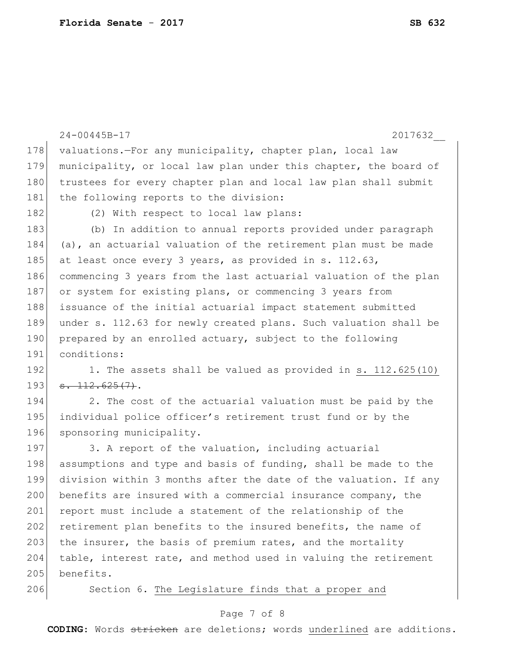```
24-00445B-17 2017632__
178 valuations.—For any municipality, chapter plan, local law
179 municipality, or local law plan under this chapter, the board of
180 trustees for every chapter plan and local law plan shall submit
181 the following reports to the division:
182 (2) With respect to local law plans:
183 (b) In addition to annual reports provided under paragraph 
184 (a), an actuarial valuation of the retirement plan must be made
185 at least once every 3 years, as provided in s. 112.63,
186 commencing 3 years from the last actuarial valuation of the plan 
187 or system for existing plans, or commencing 3 years from
188 issuance of the initial actuarial impact statement submitted
189 under s. 112.63 for newly created plans. Such valuation shall be 
190 prepared by an enrolled actuary, subject to the following
191 conditions:
192 1. The assets shall be valued as provided in s. 112.625(10)193 \mid \textbf{s. } 112.625(7).
194 2. The cost of the actuarial valuation must be paid by the
195 individual police officer's retirement trust fund or by the
196 sponsoring municipality.
197 3. A report of the valuation, including actuarial
198 assumptions and type and basis of funding, shall be made to the
199 division within 3 months after the date of the valuation. If any 
200 benefits are insured with a commercial insurance company, the
201 report must include a statement of the relationship of the
202 retirement plan benefits to the insured benefits, the name of
203 the insurer, the basis of premium rates, and the mortality
204 table, interest rate, and method used in valuing the retirement 
205 benefits.
206 Section 6. The Legislature finds that a proper and
```
### Page 7 of 8